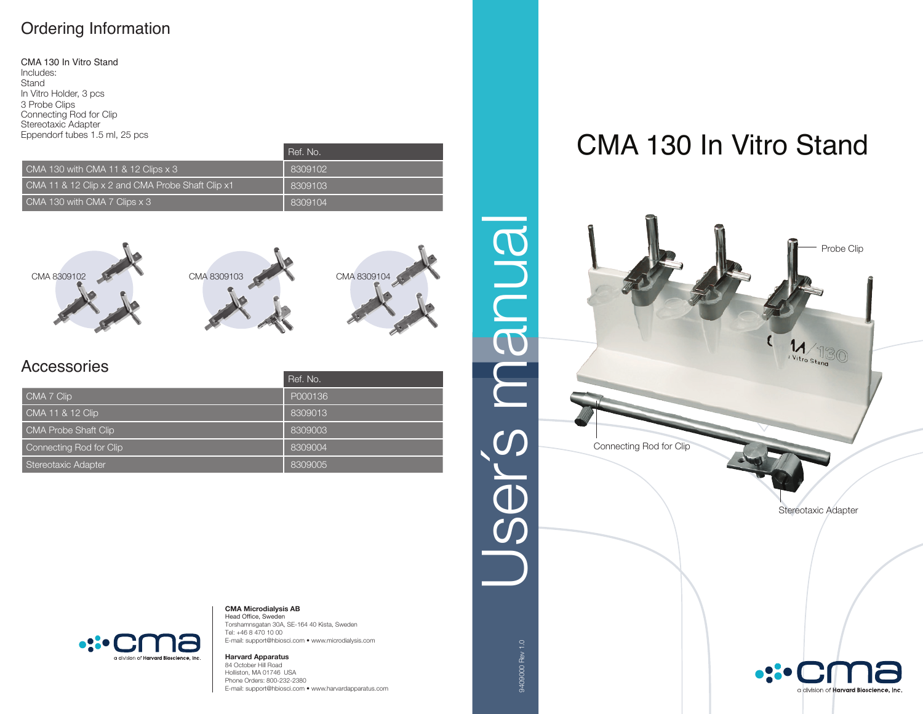## Ordering Information

CMA 130 In Vitro Stand Includes: **Stand** In Vitro Holder, 3 pcs 3 Probe Clips Connecting Rod for Clip Stereotaxic Adapter Eppendorf tubes 1.5 ml, 25 pcs

|                                                   | Ref. No. |
|---------------------------------------------------|----------|
| $\blacksquare$ CMA 130 with CMA 11 & 12 Clips x 3 | 8309102  |
| CMA 11 & 12 Clip x 2 and CMA Probe Shaft Clip x1  | 8309103  |
| CMA 130 with CMA 7 Clips x 3                      | 8309104  |







## Accessories

|                             | Ref. No. |
|-----------------------------|----------|
| CMA 7 Clip                  | P000136  |
| CMA 11 & 12 Clip            | 8309013  |
| <b>CMA Probe Shaft Clip</b> | 8309003  |
| Connecting Rod for Clip     | 8309004  |
| Stereotaxic Adapter         | 8309005  |

## CMA 130 In Vitro Stand





**CMA Microdialysis AB** Head Office, Sweden

Torshamnsgatan 30A, SE-164 40 Kista, Sweden Tel: +46 8 470 10 00 E-mail: support@hbiosci.com • www.microdialysis.com

**Harvard Apparatus** 84 October Hill Road Holliston, MA 01746 USA Phone Orders: 800-232-2380 E-mail: support@hbiosci.com • www.harvardapparatus.com